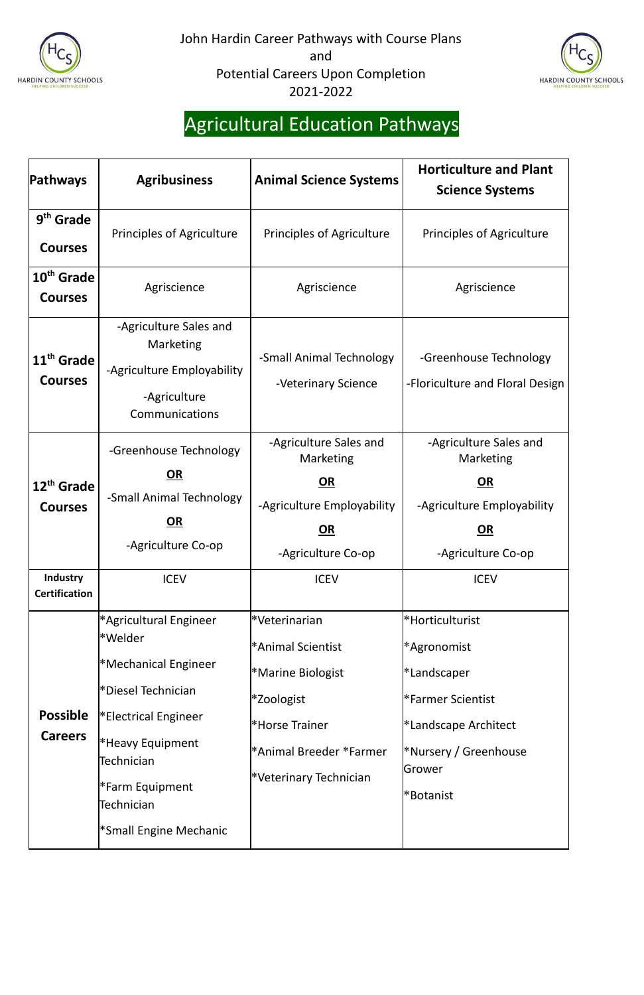



# Agricultural Education Pathways

| Pathways                                             | <b>Agribusiness</b>                                                                                                                                                                                                                          | <b>Animal Science Systems</b>                                                                                                                | <b>Horticulture and Plant</b><br><b>Science Systems</b>                                                                                    |
|------------------------------------------------------|----------------------------------------------------------------------------------------------------------------------------------------------------------------------------------------------------------------------------------------------|----------------------------------------------------------------------------------------------------------------------------------------------|--------------------------------------------------------------------------------------------------------------------------------------------|
| 9 <sup>th</sup> Grade<br><b>Courses</b>              | <b>Principles of Agriculture</b>                                                                                                                                                                                                             | <b>Principles of Agriculture</b>                                                                                                             | <b>Principles of Agriculture</b>                                                                                                           |
| 10 <sup>th</sup> Grade<br><b>Courses</b>             | Agriscience                                                                                                                                                                                                                                  | Agriscience                                                                                                                                  | Agriscience                                                                                                                                |
| 11 <sup>th</sup> Grade<br><b>Courses</b>             | -Agriculture Sales and<br>Marketing<br>-Agriculture Employability<br>-Agriculture<br>Communications                                                                                                                                          | -Small Animal Technology<br>-Veterinary Science                                                                                              | -Greenhouse Technology<br>-Floriculture and Floral Design                                                                                  |
| 12 <sup>th</sup> Grade<br><b>Courses</b><br>Industry | -Greenhouse Technology<br>OR<br>-Small Animal Technology<br>$OR$<br>-Agriculture Co-op<br><b>ICEV</b>                                                                                                                                        | -Agriculture Sales and<br>Marketing<br><u>OR</u><br>-Agriculture Employability<br>OR<br>-Agriculture Co-op<br><b>ICEV</b>                    | -Agriculture Sales and<br>Marketing<br><u>OR</u><br>-Agriculture Employability<br>OR<br>-Agriculture Co-op<br><b>ICEV</b>                  |
| <b>Certification</b>                                 |                                                                                                                                                                                                                                              |                                                                                                                                              |                                                                                                                                            |
| <b>Possible</b><br><b>Careers</b>                    | *Agricultural Engineer<br>l*Welder<br><sup>*</sup> Mechanical Engineer<br>*Diesel Technician<br><b>Electrical Engineer</b> *<br><sup>*</sup> Heavy Equipment<br>Technician<br><b>*Farm Equipment</b><br>Technician<br>*Small Engine Mechanic | *Veterinarian<br>*Animal Scientist<br>*Marine Biologist<br>*Zoologist<br>*Horse Trainer<br>*Animal Breeder *Farmer<br>*Veterinary Technician | *Horticulturist<br>*Agronomist<br>*Landscaper<br>*Farmer Scientist<br>*Landscape Architect<br>*Nursery / Greenhouse<br>Grower<br>*Botanist |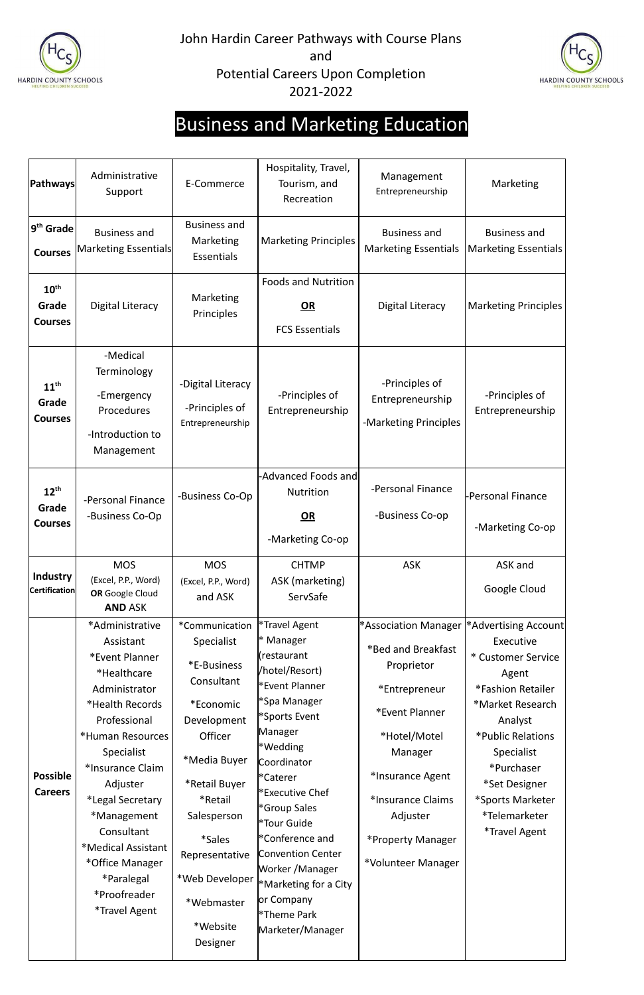



# Business and Marketing Education

| Pathways                                     | Administrative<br>Support                                                                                                                                                                                                                                                                                                                  | E-Commerce                                                                                                                                                                                                                                             | Hospitality, Travel,<br>Tourism, and<br>Recreation                                                                                                                                                                                                                                                                                                                                 | Management<br>Entrepreneurship                                                                                                                                                                                         | Marketing                                                                                                                                                                                                                                                  |
|----------------------------------------------|--------------------------------------------------------------------------------------------------------------------------------------------------------------------------------------------------------------------------------------------------------------------------------------------------------------------------------------------|--------------------------------------------------------------------------------------------------------------------------------------------------------------------------------------------------------------------------------------------------------|------------------------------------------------------------------------------------------------------------------------------------------------------------------------------------------------------------------------------------------------------------------------------------------------------------------------------------------------------------------------------------|------------------------------------------------------------------------------------------------------------------------------------------------------------------------------------------------------------------------|------------------------------------------------------------------------------------------------------------------------------------------------------------------------------------------------------------------------------------------------------------|
| $ 9^{\text{th}}$ Grade $ $<br><b>Courses</b> | <b>Business and</b><br>Marketing Essentials                                                                                                                                                                                                                                                                                                | <b>Business and</b><br>Marketing<br><b>Essentials</b>                                                                                                                                                                                                  | <b>Marketing Principles</b>                                                                                                                                                                                                                                                                                                                                                        | <b>Business and</b><br><b>Marketing Essentials</b>                                                                                                                                                                     | <b>Business and</b><br><b>Marketing Essentials</b>                                                                                                                                                                                                         |
| $10^{\text{th}}$<br>Grade<br><b>Courses</b>  | <b>Digital Literacy</b>                                                                                                                                                                                                                                                                                                                    | Marketing<br>Principles                                                                                                                                                                                                                                | <b>Foods and Nutrition</b><br>OR<br><b>FCS Essentials</b>                                                                                                                                                                                                                                                                                                                          | <b>Digital Literacy</b>                                                                                                                                                                                                | <b>Marketing Principles</b>                                                                                                                                                                                                                                |
| $11^{\text{th}}$<br>Grade<br><b>Courses</b>  | -Medical<br>Terminology<br>-Emergency<br>Procedures<br>-Introduction to<br>Management                                                                                                                                                                                                                                                      | -Digital Literacy<br>-Principles of<br>Entrepreneurship                                                                                                                                                                                                | -Principles of<br>Entrepreneurship                                                                                                                                                                                                                                                                                                                                                 | -Principles of<br>Entrepreneurship<br>-Marketing Principles                                                                                                                                                            | -Principles of<br>Entrepreneurship                                                                                                                                                                                                                         |
| $12^{\text{th}}$<br>Grade<br><b>Courses</b>  | -Personal Finance<br>-Business Co-Op                                                                                                                                                                                                                                                                                                       | -Business Co-Op                                                                                                                                                                                                                                        | -Advanced Foods and<br><b>Nutrition</b><br>OR<br>-Marketing Co-op                                                                                                                                                                                                                                                                                                                  | -Personal Finance<br>-Business Co-op                                                                                                                                                                                   | <b>Personal Finance</b><br>-Marketing Co-op                                                                                                                                                                                                                |
| <b>Industry</b><br><b>Certification</b>      | <b>MOS</b><br>(Excel, P.P., Word)<br>OR Google Cloud<br><b>AND ASK</b>                                                                                                                                                                                                                                                                     | <b>MOS</b><br>(Excel, P.P., Word)<br>and ASK                                                                                                                                                                                                           | <b>CHTMP</b><br>ASK (marketing)<br>ServSafe                                                                                                                                                                                                                                                                                                                                        | <b>ASK</b>                                                                                                                                                                                                             | ASK and<br>Google Cloud                                                                                                                                                                                                                                    |
| <b>Possible</b><br><b>Careers</b>            | *Administrative<br>Assistant<br>*Event Planner<br>*Healthcare<br>Administrator<br>*Health Records<br>Professional<br>*Human Resources<br>Specialist<br>*Insurance Claim<br>Adjuster<br>*Legal Secretary<br>*Management<br>Consultant<br>*Medical Assistant<br>*Office Manager<br>*Paralegal<br>*Proofreader<br><i><b>*Travel Agent</b></i> | *Communication<br>Specialist<br>*E-Business<br>Consultant<br>*Economic<br>Development<br>Officer<br>*Media Buyer<br>*Retail Buyer<br>*Retail<br>Salesperson<br><i>*Sales</i><br>Representative<br>*Web Developer<br>*Webmaster<br>*Website<br>Designer | *Travel Agent<br>* Manager<br>(restaurant<br>/hotel/Resort)<br>*Event Planner<br>*Spa Manager<br>*Sports Event<br>Manager<br>*Wedding<br>Coordinator<br>l*Caterer<br>*Executive Chef<br><sup>*</sup> Group Sales<br>*Tour Guide<br>*Conference and<br>Convention Center<br>Worker /Manager<br><b>*Marketing for a City</b><br>or Company<br><b>*Theme Park</b><br>Marketer/Manager | *Association Manager<br>*Bed and Breakfast<br>Proprietor<br>*Entrepreneur<br>*Event Planner<br>*Hotel/Motel<br>Manager<br>*Insurance Agent<br>*Insurance Claims<br>Adjuster<br>*Property Manager<br>*Volunteer Manager | *Advertising Account<br>Executive<br>* Customer Service<br>Agent<br>*Fashion Retailer<br>*Market Research<br>Analyst<br>*Public Relations<br>Specialist<br>*Purchaser<br>*Set Designer<br>*Sports Marketer<br>*Telemarketer<br><i><b>*Travel Agent</b></i> |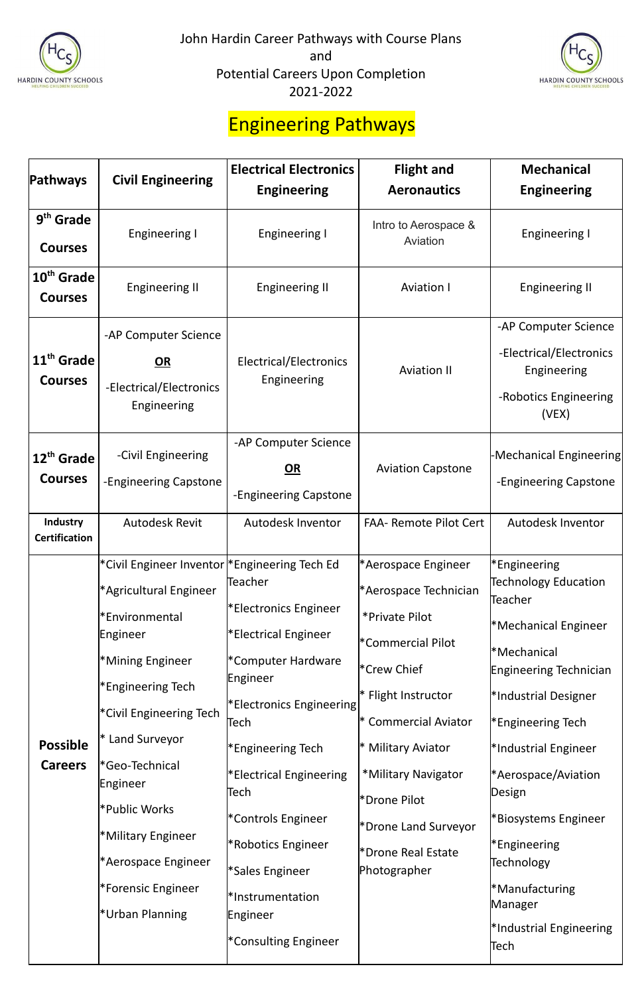



#### Engineering Pathways

|                                                                                                                                                                                                                                                                                                    | <b>Electrical Electronics</b>                                                                                                                                                               | <b>Flight and</b>                                                                                                                                                | <b>Mechanical</b>                                                                                                                                                                                                                                                                                                                                                                       |
|----------------------------------------------------------------------------------------------------------------------------------------------------------------------------------------------------------------------------------------------------------------------------------------------------|---------------------------------------------------------------------------------------------------------------------------------------------------------------------------------------------|------------------------------------------------------------------------------------------------------------------------------------------------------------------|-----------------------------------------------------------------------------------------------------------------------------------------------------------------------------------------------------------------------------------------------------------------------------------------------------------------------------------------------------------------------------------------|
|                                                                                                                                                                                                                                                                                                    | <b>Engineering</b>                                                                                                                                                                          | <b>Aeronautics</b>                                                                                                                                               | <b>Engineering</b>                                                                                                                                                                                                                                                                                                                                                                      |
|                                                                                                                                                                                                                                                                                                    |                                                                                                                                                                                             | Intro to Aerospace &                                                                                                                                             |                                                                                                                                                                                                                                                                                                                                                                                         |
|                                                                                                                                                                                                                                                                                                    |                                                                                                                                                                                             | Aviation                                                                                                                                                         | <b>Engineering I</b>                                                                                                                                                                                                                                                                                                                                                                    |
| 10 <sup>th</sup> Grade<br><b>Engineering II</b>                                                                                                                                                                                                                                                    | <b>Engineering II</b>                                                                                                                                                                       | <b>Aviation I</b>                                                                                                                                                | <b>Engineering II</b>                                                                                                                                                                                                                                                                                                                                                                   |
| -AP Computer Science<br>11 <sup>th</sup> Grade<br>OR<br>-Electrical/Electronics<br>Engineering                                                                                                                                                                                                     | Electrical/Electronics<br>Engineering                                                                                                                                                       | <b>Aviation II</b>                                                                                                                                               | -AP Computer Science<br>-Electrical/Electronics<br>Engineering<br>-Robotics Engineering<br>(VEX)                                                                                                                                                                                                                                                                                        |
| -Civil Engineering<br>12 <sup>th</sup> Grade<br>-Engineering Capstone                                                                                                                                                                                                                              | -AP Computer Science<br>OR<br>-Engineering Capstone                                                                                                                                         | <b>Aviation Capstone</b>                                                                                                                                         | -Mechanical Engineering<br>-Engineering Capstone                                                                                                                                                                                                                                                                                                                                        |
| <b>Autodesk Revit</b>                                                                                                                                                                                                                                                                              | <b>Autodesk Inventor</b>                                                                                                                                                                    | <b>FAA- Remote Pilot Cert</b>                                                                                                                                    | Autodesk Inventor                                                                                                                                                                                                                                                                                                                                                                       |
| *Agricultural Engineer<br>*Environmental<br>Engineer<br>*Mining Engineer<br><sup>*</sup> Engineering Tech<br>*Civil Engineering Tech<br>* Land Surveyor<br>*Geo-Technical<br>Engineer<br>Public Works<br>*Military Engineer<br>*Aerospace Engineer<br>*Forensic Engineer<br><b>*Urban Planning</b> | *Electronics Engineer<br>*Electrical Engineer<br>*Computer Hardware<br>*Engineering Tech<br>*Electrical Engineering<br>Tech<br>*Controls Engineer<br>*Robotics Engineer<br>*Instrumentation | *Aerospace Technician<br>*Private Pilot<br>$*$ Flight Instructor<br><b>Commercial Aviator</b><br>* Military Aviator<br>*Military Navigator<br>*Drone Real Estate | <sup>*</sup> Engineering<br><b>Technology Education</b><br>Teacher<br>*Mechanical Engineer<br>*Mechanical<br>Engineering Technician<br>*Industrial Designer<br><sup>*</sup> Engineering Tech<br>*Industrial Engineer<br>*Aerospace/Aviation<br>Design<br><b>Biosystems Engineer</b><br><b>Engineering</b><br>Technology<br>*Manufacturing<br>Manager<br>*Industrial Engineering<br>Tech |
|                                                                                                                                                                                                                                                                                                    | <b>Civil Engineering</b><br><b>Engineering I</b>                                                                                                                                            | <b>Engineering I</b><br>*Civil Engineer Inventor  *Engineering Tech Ed<br>Teacher<br>Engineer<br>Tech<br>*Sales Engineer<br>Engineer<br>*Consulting Engineer     | *Aerospace Engineer<br>*Commercial Pilot<br><sup>*</sup> Crew Chief<br><b>Electronics Engineering</b><br>*Drone Pilot<br>*Drone Land Surveyor<br>Photographer                                                                                                                                                                                                                           |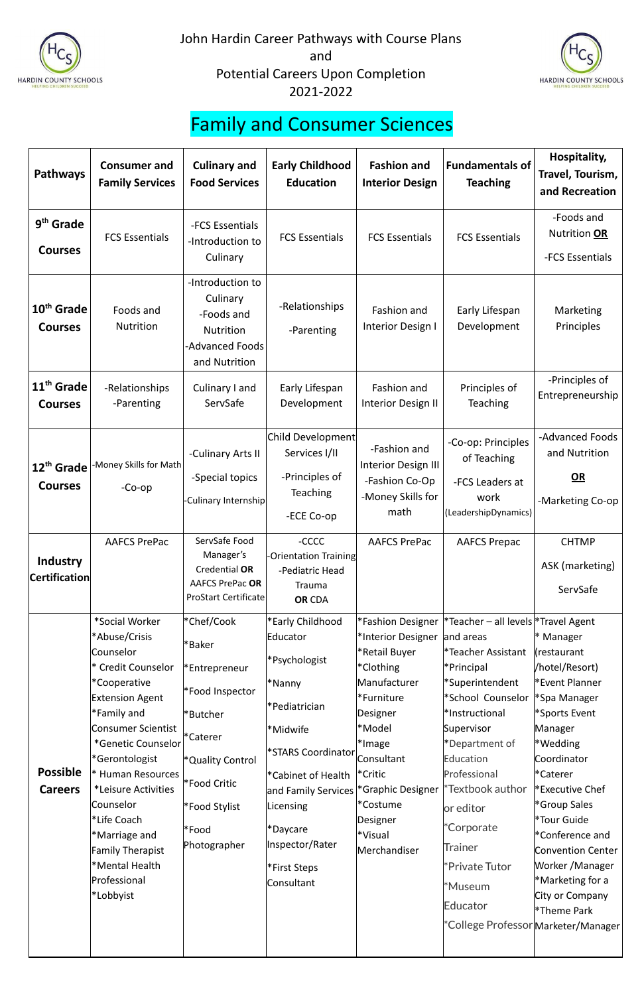



### Family and Consumer Sciences

| <b>Pathways</b>                          | <b>Consumer and</b><br><b>Family Services</b>                                                                                                                                                                                                                                                                                                                                                   | <b>Culinary and</b><br><b>Food Services</b>                                                                                                                                | <b>Early Childhood</b><br><b>Education</b>                                                                                                                                                                                         | <b>Fashion and</b><br><b>Interior Design</b>                                                                                                                                                                                         | <b>Fundamentals of</b><br><b>Teaching</b>                                                                                                                                                                                                                                                                                                                    | Hospitality,<br>Travel, Tourism,<br>and Recreation                                                                                                                                                                                                                                                                                    |
|------------------------------------------|-------------------------------------------------------------------------------------------------------------------------------------------------------------------------------------------------------------------------------------------------------------------------------------------------------------------------------------------------------------------------------------------------|----------------------------------------------------------------------------------------------------------------------------------------------------------------------------|------------------------------------------------------------------------------------------------------------------------------------------------------------------------------------------------------------------------------------|--------------------------------------------------------------------------------------------------------------------------------------------------------------------------------------------------------------------------------------|--------------------------------------------------------------------------------------------------------------------------------------------------------------------------------------------------------------------------------------------------------------------------------------------------------------------------------------------------------------|---------------------------------------------------------------------------------------------------------------------------------------------------------------------------------------------------------------------------------------------------------------------------------------------------------------------------------------|
| 9 <sup>th</sup> Grade<br><b>Courses</b>  | <b>FCS Essentials</b>                                                                                                                                                                                                                                                                                                                                                                           | -FCS Essentials<br>-Introduction to<br>Culinary                                                                                                                            | <b>FCS Essentials</b>                                                                                                                                                                                                              | <b>FCS Essentials</b>                                                                                                                                                                                                                | <b>FCS Essentials</b>                                                                                                                                                                                                                                                                                                                                        | -Foods and<br>Nutrition OR<br>-FCS Essentials                                                                                                                                                                                                                                                                                         |
| 10 <sup>th</sup> Grade<br><b>Courses</b> | Foods and<br>Nutrition                                                                                                                                                                                                                                                                                                                                                                          | -Introduction to<br>Culinary<br>-Foods and<br>Nutrition<br><b>Advanced Foods</b><br>and Nutrition                                                                          | -Relationships<br>-Parenting                                                                                                                                                                                                       | Fashion and<br>Interior Design I                                                                                                                                                                                                     | Early Lifespan<br>Development                                                                                                                                                                                                                                                                                                                                | Marketing<br>Principles                                                                                                                                                                                                                                                                                                               |
| 11 <sup>th</sup> Grade<br><b>Courses</b> | -Relationships<br>-Parenting                                                                                                                                                                                                                                                                                                                                                                    | Culinary I and<br>ServSafe                                                                                                                                                 | Early Lifespan<br>Development                                                                                                                                                                                                      | Fashion and<br>Interior Design II                                                                                                                                                                                                    | Principles of<br>Teaching                                                                                                                                                                                                                                                                                                                                    | -Principles of<br>Entrepreneurship                                                                                                                                                                                                                                                                                                    |
| $12^{th}$ Grade<br><b>Courses</b>        | -Money Skills for Math<br>$-Co$ -op                                                                                                                                                                                                                                                                                                                                                             | -Culinary Arts II<br>-Special topics<br>-Culinary Internship                                                                                                               | Child Development<br>Services I/II<br>-Principles of<br><b>Teaching</b><br>-ECE Co-op                                                                                                                                              | -Fashion and<br>Interior Design III<br>-Fashion Co-Op<br>-Money Skills for<br>math                                                                                                                                                   | -Co-op: Principles<br>of Teaching<br>-FCS Leaders at<br>work<br>(LeadershipDynamics)                                                                                                                                                                                                                                                                         | -Advanced Foods<br>and Nutrition<br>$OR$<br>-Marketing Co-op                                                                                                                                                                                                                                                                          |
| Industry<br><b>Certification</b>         | <b>AAFCS PrePac</b>                                                                                                                                                                                                                                                                                                                                                                             | ServSafe Food<br>Manager's<br>Credential OR<br><b>AAFCS PrePac OR</b><br><b>ProStart Certificate</b>                                                                       | -CCCC<br><b>-Orientation Training</b><br>-Pediatric Head<br>Trauma<br><b>OR CDA</b>                                                                                                                                                | <b>AAFCS PrePac</b>                                                                                                                                                                                                                  | <b>AAFCS Prepac</b>                                                                                                                                                                                                                                                                                                                                          | <b>CHTMP</b><br>ASK (marketing)<br>ServSafe                                                                                                                                                                                                                                                                                           |
| <b>Possible</b><br><b>Careers</b>        | *Social Worker<br>*Abuse/Crisis<br>Counselor<br>* Credit Counselor<br><i><b>*Cooperative</b></i><br><b>Extension Agent</b><br>*Family and<br><b>Consumer Scientist</b><br>*Genetic Counselor<br>*Gerontologist<br>* Human Resources<br><i>*Leisure Activities</i><br><b>Counselor</b><br>*Life Coach<br>*Marriage and<br><b>Family Therapist</b><br>*Mental Health<br>Professional<br>*Lobbyist | *Chef/Cook<br>*Baker<br>*Entrepreneur<br>*Food Inspector<br>*Butcher<br>*Caterer<br><sup>*</sup> Quality Control<br>*Food Critic<br>*Food Stylist<br>*Food<br>Photographer | *Early Childhood<br>Educator<br>*Psychologist<br>*Nanny<br>Pediatrician*<br>*Midwife<br>*STARS Coordinator<br>*Cabinet of Health<br>and Family Services<br>Licensing<br>P*Daycare<br>Inspector/Rater<br>*First Steps<br>Consultant | *Fashion Designer<br>*Interior Designer<br>*Retail Buyer<br>*Clothing<br>Manufacturer<br>*Furniture<br>Designer<br>*Model<br>*Image<br>Consultant<br>*Critic<br>*Graphic Designer<br>*Costume<br>Designer<br>*Visual<br>Merchandiser | *Teacher - all levels *Travel Agent<br>and areas<br>*Teacher Assistant<br>*Principal<br>*Superintendent<br>*School Counselor<br>*Instructional<br>Supervisor<br>*Department of<br>Education<br>Professional<br>'Textbook author<br>or editor<br>*Corporate<br><b>Trainer</b><br>*Private Tutor<br>*Museum<br>Educator<br>*College Professor Marketer/Manager | * Manager<br>cestaurant<br>/hotel/Resort)<br>*Event Planner<br>*Spa Manager<br>*Sports Event<br>Manager<br>*Wedding<br>Coordinator<br>*Caterer<br><b>Executive Chef</b><br>*Group Sales<br>*Tour Guide<br>*Conference and<br><b>Convention Center</b><br>Worker /Manager<br>*Marketing for a<br>City or Company<br><b>*Theme Park</b> |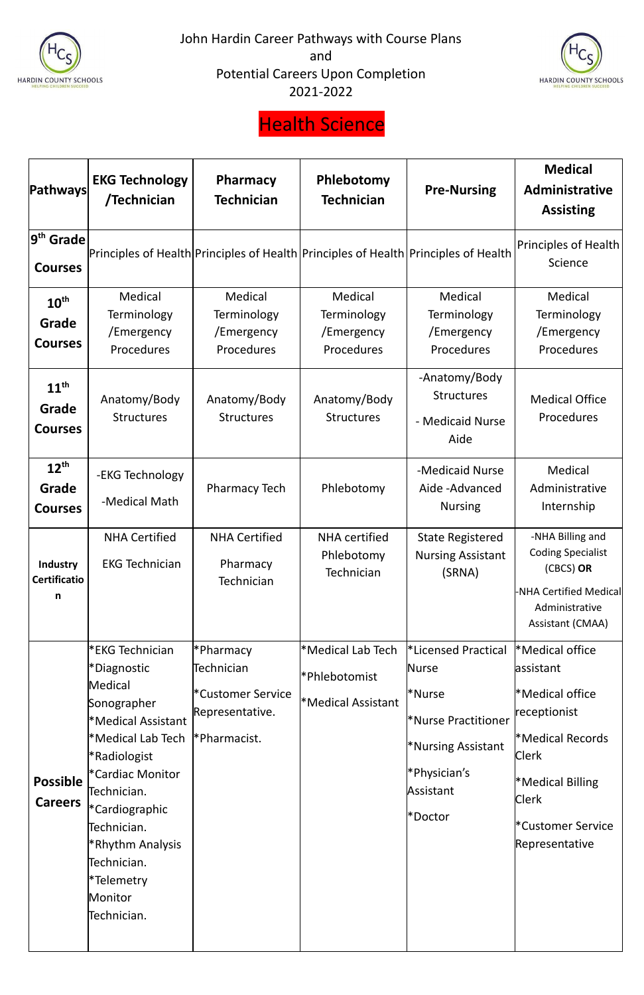



### Health Science

| Pathways                                    | <b>EKG Technology</b><br>/Technician                                                                                                                                                                                                                               | <b>Pharmacy</b><br><b>Technician</b>                                                        | Phlebotomy<br><b>Technician</b>                                      | <b>Pre-Nursing</b>                                                                                                                 | <b>Medical</b><br>Administrative<br><b>Assisting</b>                                                                                                                                                         |
|---------------------------------------------|--------------------------------------------------------------------------------------------------------------------------------------------------------------------------------------------------------------------------------------------------------------------|---------------------------------------------------------------------------------------------|----------------------------------------------------------------------|------------------------------------------------------------------------------------------------------------------------------------|--------------------------------------------------------------------------------------------------------------------------------------------------------------------------------------------------------------|
| 9 <sup>th</sup> Grade<br><b>Courses</b>     |                                                                                                                                                                                                                                                                    | Principles of Health Principles of Health Principles of Health Principles of Health         |                                                                      |                                                                                                                                    | Principles of Health<br>Science                                                                                                                                                                              |
| $10^{\text{th}}$<br>Grade<br><b>Courses</b> | Medical<br>Terminology<br>/Emergency<br>Procedures                                                                                                                                                                                                                 | Medical<br>Terminology<br>/Emergency<br>Procedures                                          | Medical<br>Terminology<br>/Emergency<br>Procedures                   | Medical<br>Terminology<br>/Emergency<br>Procedures                                                                                 | Medical<br>Terminology<br>/Emergency<br>Procedures                                                                                                                                                           |
| $11^{\text{th}}$<br>Grade<br><b>Courses</b> | Anatomy/Body<br><b>Structures</b>                                                                                                                                                                                                                                  | Anatomy/Body<br><b>Structures</b>                                                           | Anatomy/Body<br><b>Structures</b>                                    | -Anatomy/Body<br><b>Structures</b><br>- Medicaid Nurse<br>Aide                                                                     | <b>Medical Office</b><br>Procedures                                                                                                                                                                          |
| $12^{th}$<br>Grade<br><b>Courses</b>        | -EKG Technology<br>-Medical Math                                                                                                                                                                                                                                   | <b>Pharmacy Tech</b>                                                                        | Phlebotomy                                                           | -Medicaid Nurse<br>Aide-Advanced<br><b>Nursing</b>                                                                                 | Medical<br>Administrative<br>Internship                                                                                                                                                                      |
| <b>Industry</b><br><b>Certificatio</b><br>n | <b>NHA Certified</b><br><b>EKG Technician</b>                                                                                                                                                                                                                      | <b>NHA Certified</b><br>Pharmacy<br>Technician                                              | <b>NHA</b> certified<br>Phlebotomy<br>Technician                     | <b>State Registered</b><br><b>Nursing Assistant</b><br>(SRNA)                                                                      | -NHA Billing and<br><b>Coding Specialist</b><br>(CBCS) OR<br>-NHA Certified Medical<br>Administrative<br>Assistant (CMAA)                                                                                    |
| <b>Possible</b><br><b>Careers</b>           | *EKG Technician<br>*Diagnostic<br>Medical<br>Sonographer<br>*Medical Assistant<br>*Medical Lab Tech<br>*Radiologist<br>*Cardiac Monitor<br>Technician.<br>*Cardiographic<br>Technician.<br>*Rhythm Analysis<br>Technician.<br>*Telemetry<br>Monitor<br>Technician. | Pharmacy <sup>*</sup><br>Technician<br>*Customer Service<br>Representative.<br>*Pharmacist. | *Medical Lab Tech<br>*Phlebotomist<br><sup>*</sup> Medical Assistant | *Licensed Practical<br><b>Nurse</b><br>*Nurse<br>*Nurse Practitioner<br>*Nursing Assistant<br>*Physician's<br>Assistant<br>*Doctor | *Medical office<br>assistant<br><sup>*</sup> Medical office<br>receptionist<br><sup>*</sup> Medical Records<br><b>Clerk</b><br><b>Medical Billing</b><br><b>Clerk</b><br>*Customer Service<br>Representative |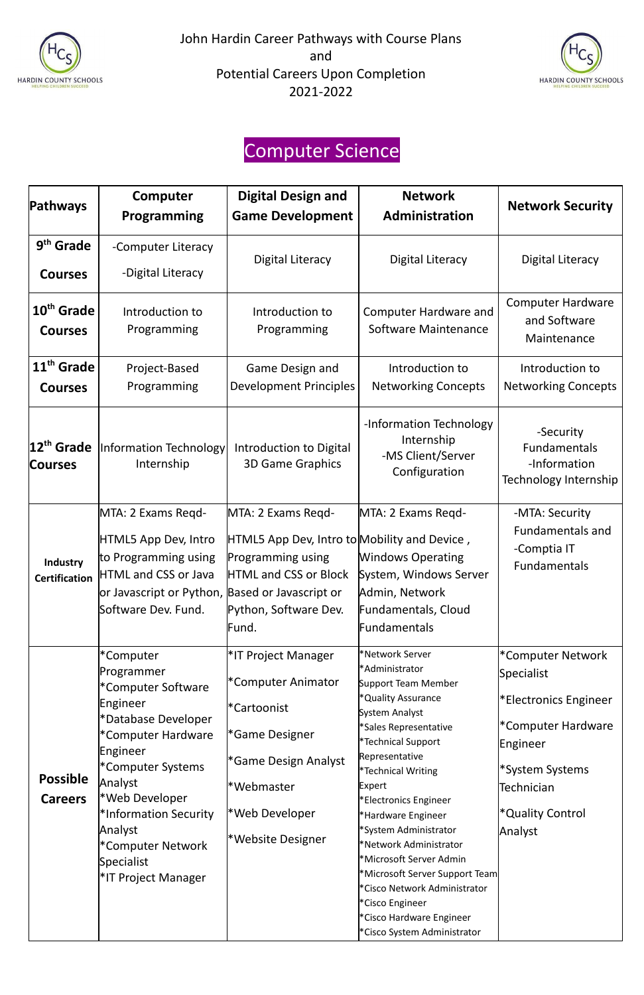



### Computer Science

| Pathways                                 | Computer<br>Programming                                                                                                                                              | <b>Digital Design and</b><br><b>Game Development</b>                                                                                                      | <b>Network</b><br>Administration                                                                                                         | <b>Network Security</b>                                                        |
|------------------------------------------|----------------------------------------------------------------------------------------------------------------------------------------------------------------------|-----------------------------------------------------------------------------------------------------------------------------------------------------------|------------------------------------------------------------------------------------------------------------------------------------------|--------------------------------------------------------------------------------|
| 9 <sup>th</sup> Grade<br><b>Courses</b>  | -Computer Literacy<br>-Digital Literacy                                                                                                                              | Digital Literacy                                                                                                                                          | <b>Digital Literacy</b>                                                                                                                  | <b>Digital Literacy</b>                                                        |
| 10 <sup>th</sup> Grade<br><b>Courses</b> | Introduction to<br>Programming                                                                                                                                       | Introduction to<br>Programming                                                                                                                            | <b>Computer Hardware and</b><br><b>Software Maintenance</b>                                                                              | <b>Computer Hardware</b><br>and Software<br>Maintenance                        |
| $11th$ Grade<br><b>Courses</b>           | Project-Based<br>Programming                                                                                                                                         | Game Design and<br><b>Development Principles</b>                                                                                                          | Introduction to<br><b>Networking Concepts</b>                                                                                            | Introduction to<br><b>Networking Concepts</b>                                  |
| 12 <sup>th</sup> Grade<br><b>Courses</b> | Information Technology<br>Internship                                                                                                                                 | Introduction to Digital<br><b>3D Game Graphics</b>                                                                                                        | -Information Technology<br>Internship<br>-MS Client/Server<br>Configuration                                                              | -Security<br>Fundamentals<br>-Information<br>Technology Internship             |
| Industry<br><b>Certification</b>         | MTA: 2 Exams Regd-<br>HTML5 App Dev, Intro<br>to Programming using<br>HTML and CSS or Java<br>or Javascript or Python, Based or Javascript or<br>Software Dev. Fund. | MTA: 2 Exams Regd-<br>HTML5 App Dev, Intro to Mobility and Device,<br>Programming using<br><b>HTML and CSS or Block</b><br>Python, Software Dev.<br>Fund. | MTA: 2 Exams Regd-<br><b>Windows Operating</b><br>System, Windows Server<br>Admin, Network<br>Fundamentals, Cloud<br><b>Fundamentals</b> | -MTA: Security<br><b>Fundamentals and</b><br>-Comptia IT<br>Fundamentals       |
|                                          | *Computer<br>Programmer<br>*Computer Software<br>Engineer<br>*Database Developer                                                                                     | <sup>*</sup> IT Project Manager<br>*Computer Animator<br>*Cartoonist                                                                                      | *Network Server<br>*Administrator<br>Support Team Member<br>*Quality Assurance<br>System Analyst<br>*Sales Representative                | *Computer Network<br>Specialist<br>*Electronics Engineer<br>*Computer Hardware |

|                 | *Computer Hardware                                    | <sup>*</sup> Game Designer       | Saics Incipi cscritative      |                              |
|-----------------|-------------------------------------------------------|----------------------------------|-------------------------------|------------------------------|
|                 |                                                       |                                  | *Technical Support            | Engineer                     |
|                 | Engineer                                              | <sup>*</sup> Game Design Analyst | Representative                |                              |
|                 | *Computer Systems                                     |                                  | *Technical Writing            | *System Systems              |
| <b>Possible</b> | Analyst                                               | l*Webmaster                      | Expert                        | Technician                   |
| <b>Careers</b>  | *Web Developer                                        |                                  | *Electronics Engineer         |                              |
|                 | *Information Security<br>Analyst<br>*Computer Network | *Web Developer                   | *Hardware Engineer            | <sup>*</sup> Quality Control |
|                 |                                                       | <i><b>*Website Designer</b></i>  | *System Administrator         | Analyst                      |
|                 |                                                       |                                  | *Network Administrator        |                              |
|                 | Specialist                                            |                                  | *Microsoft Server Admin       |                              |
|                 | <sup>*</sup> IT Project Manager                       |                                  | Microsoft Server Support Team |                              |
|                 |                                                       |                                  | *Cisco Network Administrator  |                              |
|                 |                                                       |                                  | *Cisco Engineer               |                              |
|                 |                                                       |                                  | *Cisco Hardware Engineer      |                              |
|                 |                                                       |                                  | *Cisco System Administrator   |                              |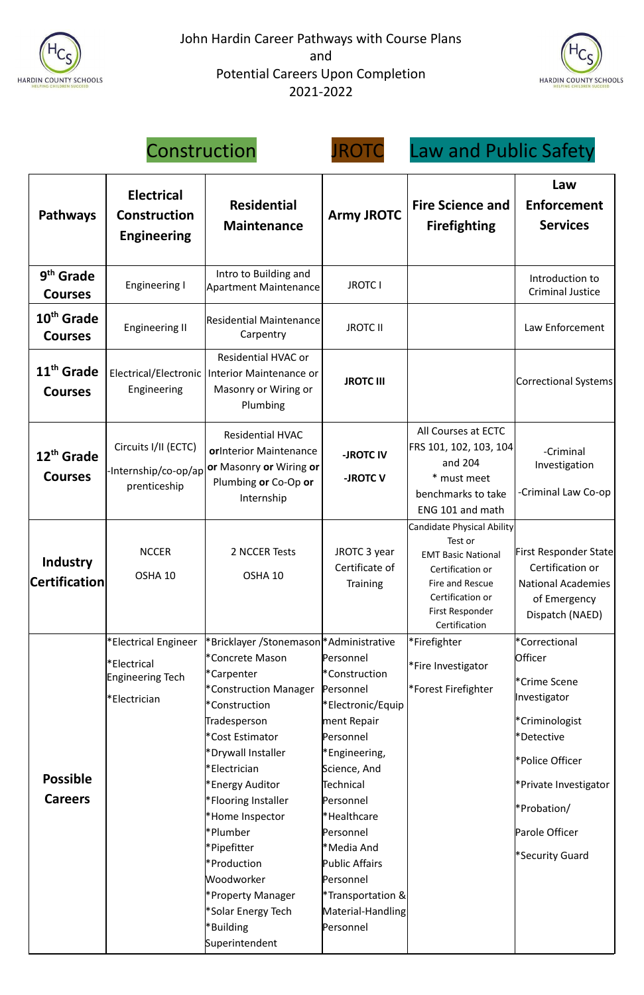





## Construction JROTC Law and Public Safety

| <b>Pathways</b>                          | <b>Electrical</b><br><b>Residential</b><br><b>Construction</b><br><b>Maintenance</b><br><b>Engineering</b> |                                                                                                                                                                                                                                                                                                                                                                                                                             | <b>Army JROTC</b>                                                                                                                                                                                                                                                                        | <b>Fire Science and</b><br><b>Firefighting</b>                                                                                                                    | Law<br><b>Enforcement</b><br><b>Services</b>                                                                                                                                                    |
|------------------------------------------|------------------------------------------------------------------------------------------------------------|-----------------------------------------------------------------------------------------------------------------------------------------------------------------------------------------------------------------------------------------------------------------------------------------------------------------------------------------------------------------------------------------------------------------------------|------------------------------------------------------------------------------------------------------------------------------------------------------------------------------------------------------------------------------------------------------------------------------------------|-------------------------------------------------------------------------------------------------------------------------------------------------------------------|-------------------------------------------------------------------------------------------------------------------------------------------------------------------------------------------------|
| 9 <sup>th</sup> Grade<br><b>Courses</b>  | <b>Engineering I</b>                                                                                       | Intro to Building and<br><b>Apartment Maintenance</b>                                                                                                                                                                                                                                                                                                                                                                       | <b>JROTC I</b>                                                                                                                                                                                                                                                                           |                                                                                                                                                                   | Introduction to<br><b>Criminal Justice</b>                                                                                                                                                      |
| 10 <sup>th</sup> Grade<br><b>Courses</b> | <b>Engineering II</b>                                                                                      | Residential Maintenance<br>Carpentry                                                                                                                                                                                                                                                                                                                                                                                        | <b>JROTC II</b>                                                                                                                                                                                                                                                                          |                                                                                                                                                                   | Law Enforcement                                                                                                                                                                                 |
| 11 <sup>th</sup> Grade<br><b>Courses</b> | Engineering                                                                                                | <b>Residential HVAC or</b><br>Electrical/Electronic   Interior Maintenance or<br>Masonry or Wiring or<br>Plumbing                                                                                                                                                                                                                                                                                                           | <b>JROTC III</b>                                                                                                                                                                                                                                                                         |                                                                                                                                                                   | Correctional Systems                                                                                                                                                                            |
| 12 <sup>th</sup> Grade<br><b>Courses</b> | Circuits I/II (ECTC)<br>prenticeship                                                                       | <b>Residential HVAC</b><br>orInterior Maintenance<br>-Internship/co-op/ap <b>or</b> Masonry or Wiring or<br>Plumbing or Co-Op or<br>Internship                                                                                                                                                                                                                                                                              | -JROTC IV<br>-JROTC <sub>V</sub>                                                                                                                                                                                                                                                         | All Courses at ECTC<br>FRS 101, 102, 103, 104<br>and 204<br>* must meet<br>benchmarks to take<br>ENG 101 and math                                                 | -Criminal<br>Investigation<br>-Criminal Law Co-op                                                                                                                                               |
| <b>Industry</b><br><b>Certification</b>  | <b>NCCER</b><br>OSHA 10                                                                                    | 2 NCCER Tests<br>OSHA 10                                                                                                                                                                                                                                                                                                                                                                                                    | JROTC 3 year<br>Certificate of<br><b>Training</b>                                                                                                                                                                                                                                        | Candidate Physical Ability<br>Test or<br><b>EMT Basic National</b><br>Certification or<br>Fire and Rescue<br>Certification or<br>First Responder<br>Certification | <b>First Responder State</b><br>Certification or<br><b>National Academies</b><br>of Emergency<br>Dispatch (NAED)                                                                                |
| <b>Possible</b><br><b>Careers</b>        | *Electrical Engineer<br>l*Electrical<br>Engineering Tech<br>*Electrician                                   | *Bricklayer /Stonemason *Administrative<br>*Concrete Mason<br>*Carpenter<br>*Construction Manager<br>*Construction<br>Tradesperson<br><sup>*</sup> Cost Estimator<br>*Drywall Installer<br>*Electrician<br>*Energy Auditor<br><b>*Flooring Installer</b><br>*Home Inspector<br>l*Plumber<br>*Pipefitter<br><b>*Production</b><br>Woodworker<br><b>Property Manager</b><br>*Solar Energy Tech<br>*Building<br>Superintendent | Personnel<br>*Construction<br>Personnel<br>Flectronic/Equip®<br>ment Repair<br>Personnel<br>Engineering,<br>Science, And<br>Technical<br>Personnel<br>*Healthcare<br>Personnel<br>*Media And<br><b>Public Affairs</b><br>Personnel<br>Transportation &<br>Material-Handling<br>Personnel | *Firefighter<br>*Fire Investigator<br>*Forest Firefighter                                                                                                         | *Correctional<br><b>Officer</b><br>*Crime Scene<br>Investigator<br>*Criminologist<br>*Detective<br>*Police Officer<br>*Private Investigator<br>*Probation/<br>Parole Officer<br>*Security Guard |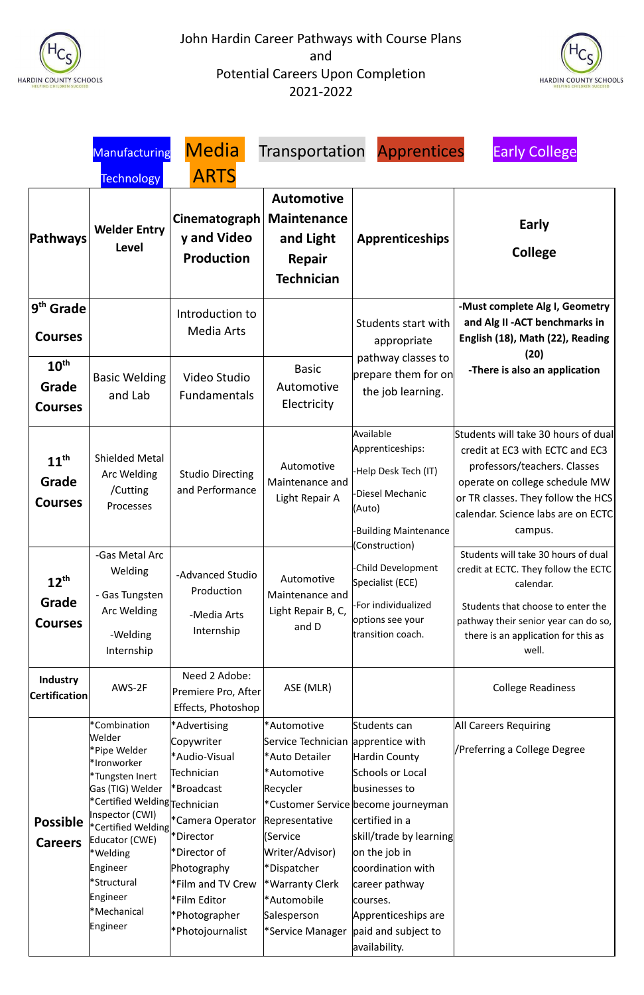



|                                                                                        | Manufacturing                                                                                                                                                                                                                                                                       | <b>Media</b>                                                                                                                                                                                                                         | Transportation                                                                                                                                                                                                                      | <b>Apprentices</b>                                                                                                                                                                                                                                                                        | <b>Early College</b>                                                                                                                                                                                                            |
|----------------------------------------------------------------------------------------|-------------------------------------------------------------------------------------------------------------------------------------------------------------------------------------------------------------------------------------------------------------------------------------|--------------------------------------------------------------------------------------------------------------------------------------------------------------------------------------------------------------------------------------|-------------------------------------------------------------------------------------------------------------------------------------------------------------------------------------------------------------------------------------|-------------------------------------------------------------------------------------------------------------------------------------------------------------------------------------------------------------------------------------------------------------------------------------------|---------------------------------------------------------------------------------------------------------------------------------------------------------------------------------------------------------------------------------|
|                                                                                        | <b>Technology</b>                                                                                                                                                                                                                                                                   | <b>ARTS</b>                                                                                                                                                                                                                          |                                                                                                                                                                                                                                     |                                                                                                                                                                                                                                                                                           |                                                                                                                                                                                                                                 |
| Pathways                                                                               | <b>Welder Entry</b><br>Level                                                                                                                                                                                                                                                        | Cinematograph<br>y and Video<br><b>Production</b>                                                                                                                                                                                    | <b>Automotive</b><br><b>Maintenance</b><br>and Light<br>Repair<br><b>Technician</b>                                                                                                                                                 | <b>Apprenticeships</b>                                                                                                                                                                                                                                                                    | Early<br><b>College</b>                                                                                                                                                                                                         |
| 9 <sup>th</sup> Grade<br><b>Courses</b><br>$10^{\text{th}}$<br>Grade<br><b>Courses</b> | <b>Basic Welding</b><br>and Lab                                                                                                                                                                                                                                                     | Introduction to<br><b>Media Arts</b><br>Video Studio<br><b>Fundamentals</b>                                                                                                                                                          | <b>Basic</b><br>Automotive<br>Electricity                                                                                                                                                                                           | Students start with<br>appropriate<br>pathway classes to<br>prepare them for on<br>the job learning.                                                                                                                                                                                      | -Must complete Alg I, Geometry<br>and Alg II - ACT benchmarks in<br>English (18), Math (22), Reading<br>(20)<br>-There is also an application                                                                                   |
| 11 <sup>th</sup><br>Grade<br><b>Courses</b>                                            | <b>Shielded Metal</b><br>Arc Welding<br>/Cutting<br>Processes                                                                                                                                                                                                                       | <b>Studio Directing</b><br>and Performance                                                                                                                                                                                           | Automotive<br>Maintenance and<br>Light Repair A                                                                                                                                                                                     | Available<br>Apprenticeships:<br>-Help Desk Tech (IT)<br><b>-Diesel Mechanic</b><br>(Auto)<br><b>Building Maintenance</b><br>(Construction)                                                                                                                                               | Students will take 30 hours of dual<br>credit at EC3 with ECTC and EC3<br>professors/teachers. Classes<br>operate on college schedule MW<br>or TR classes. They follow the HCS<br>calendar. Science labs are on ECTC<br>campus. |
| $12^{\text{th}}$<br>Grade<br><b>Courses</b>                                            | -Gas Metal Arc<br><b>Welding</b><br>- Gas Tungsten<br>Arc Welding<br>-Welding<br>Internship                                                                                                                                                                                         | -Advanced Studio<br>Production<br>-Media Arts<br>Internship                                                                                                                                                                          | Automotive<br>Maintenance and<br>Light Repair B, C,<br>and D                                                                                                                                                                        | -Child Development<br>Specialist (ECE)<br>-For individualized<br>options see your<br>transition coach.                                                                                                                                                                                    | Students will take 30 hours of dual<br>credit at ECTC. They follow the ECTC<br>calendar.<br>Students that choose to enter the<br>pathway their senior year can do so,<br>there is an application for this as<br>well.           |
| <b>Industry</b><br><b>Certification</b>                                                | AWS-2F                                                                                                                                                                                                                                                                              | Need 2 Adobe:<br>Premiere Pro, After<br>Effects, Photoshop                                                                                                                                                                           | ASE (MLR)                                                                                                                                                                                                                           |                                                                                                                                                                                                                                                                                           | <b>College Readiness</b>                                                                                                                                                                                                        |
| <b>Possible</b><br><b>Careers</b>                                                      | *Combination<br>lWelder<br>*Pipe Welder<br>*Ironworker<br>*Tungsten Inert<br>Gas (TIG) Welder<br>*Certified Welding <sub>Technician</sub><br>Inspector (CWI)<br>*Certified Welding<br>Educator (CWE)<br>*Welding<br>Engineer <br>*Structural<br>Engineer<br>*Mechanical<br>Engineer | *Advertising<br>Copywriter<br>*Audio-Visual<br>Technician<br>*Broadcast<br><sup>*</sup> Camera Operator<br>*Director<br>*Director of<br>Photography<br><b>*Film and TV Crew</b><br>Film Editor*<br>*Photographer<br>*Photojournalist | *Automotive<br>Service Technician apprentice with<br>*Auto Detailer<br>*Automotive<br>Recycler<br>Representative<br>(Service<br>Writer/Advisor)<br>*Dispatcher<br>*Warranty Clerk<br>*Automobile<br>Salesperson<br>*Service Manager | Students can<br>Hardin County<br>Schools or Local<br>businesses to<br>*Customer Service become journeyman<br>certified in a<br>skill/trade by learning<br>on the job in<br>coordination with<br>career pathway<br>courses.<br>Apprenticeships are<br>paid and subject to<br>availability. | <b>All Careers Requiring</b><br>/Preferring a College Degree                                                                                                                                                                    |